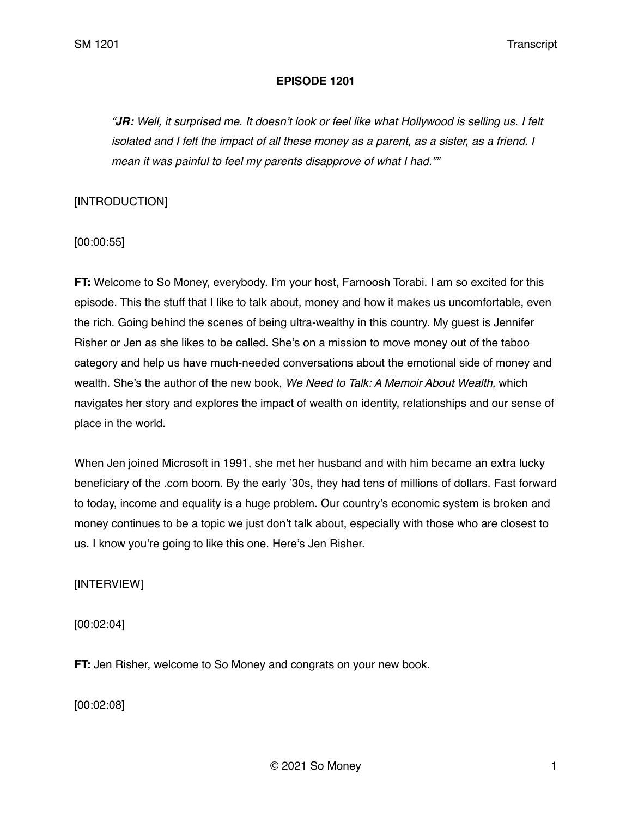### **EPISODE 1201**

*"JR: Well, it surprised me. It doesn't look or feel like what Hollywood is selling us. I felt isolated and I felt the impact of all these money as a parent, as a sister, as a friend. I mean it was painful to feel my parents disapprove of what I had.""* 

## [INTRODUCTION]

[00:00:55]

**FT:** Welcome to So Money, everybody. I'm your host, Farnoosh Torabi. I am so excited for this episode. This the stuff that I like to talk about, money and how it makes us uncomfortable, even the rich. Going behind the scenes of being ultra-wealthy in this country. My guest is Jennifer Risher or Jen as she likes to be called. She's on a mission to move money out of the taboo category and help us have much-needed conversations about the emotional side of money and wealth. She's the author of the new book, *We Need to Talk: A Memoir About Wealth,* which navigates her story and explores the impact of wealth on identity, relationships and our sense of place in the world.

When Jen joined Microsoft in 1991, she met her husband and with him became an extra lucky beneficiary of the .com boom. By the early '30s, they had tens of millions of dollars. Fast forward to today, income and equality is a huge problem. Our country's economic system is broken and money continues to be a topic we just don't talk about, especially with those who are closest to us. I know you're going to like this one. Here's Jen Risher.

[INTERVIEW]

[00:02:04]

**FT:** Jen Risher, welcome to So Money and congrats on your new book.

[00:02:08]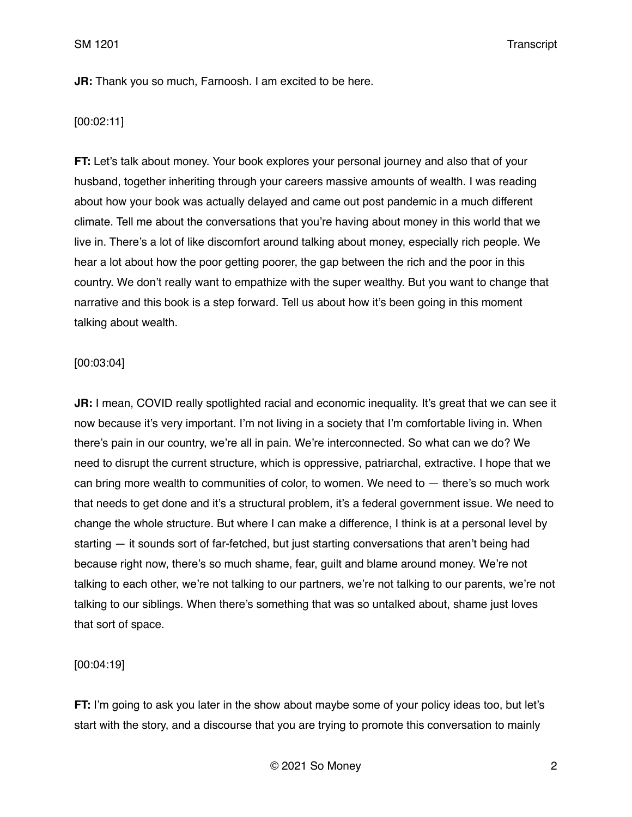## **JR:** Thank you so much, Farnoosh. I am excited to be here.

## [00:02:11]

**FT:** Let's talk about money. Your book explores your personal journey and also that of your husband, together inheriting through your careers massive amounts of wealth. I was reading about how your book was actually delayed and came out post pandemic in a much different climate. Tell me about the conversations that you're having about money in this world that we live in. There's a lot of like discomfort around talking about money, especially rich people. We hear a lot about how the poor getting poorer, the gap between the rich and the poor in this country. We don't really want to empathize with the super wealthy. But you want to change that narrative and this book is a step forward. Tell us about how it's been going in this moment talking about wealth.

## [00:03:04]

**JR:** I mean, COVID really spotlighted racial and economic inequality. It's great that we can see it now because it's very important. I'm not living in a society that I'm comfortable living in. When there's pain in our country, we're all in pain. We're interconnected. So what can we do? We need to disrupt the current structure, which is oppressive, patriarchal, extractive. I hope that we can bring more wealth to communities of color, to women. We need to  $-$  there's so much work that needs to get done and it's a structural problem, it's a federal government issue. We need to change the whole structure. But where I can make a difference, I think is at a personal level by starting — it sounds sort of far-fetched, but just starting conversations that aren't being had because right now, there's so much shame, fear, guilt and blame around money. We're not talking to each other, we're not talking to our partners, we're not talking to our parents, we're not talking to our siblings. When there's something that was so untalked about, shame just loves that sort of space.

### [00:04:19]

**FT:** I'm going to ask you later in the show about maybe some of your policy ideas too, but let's start with the story, and a discourse that you are trying to promote this conversation to mainly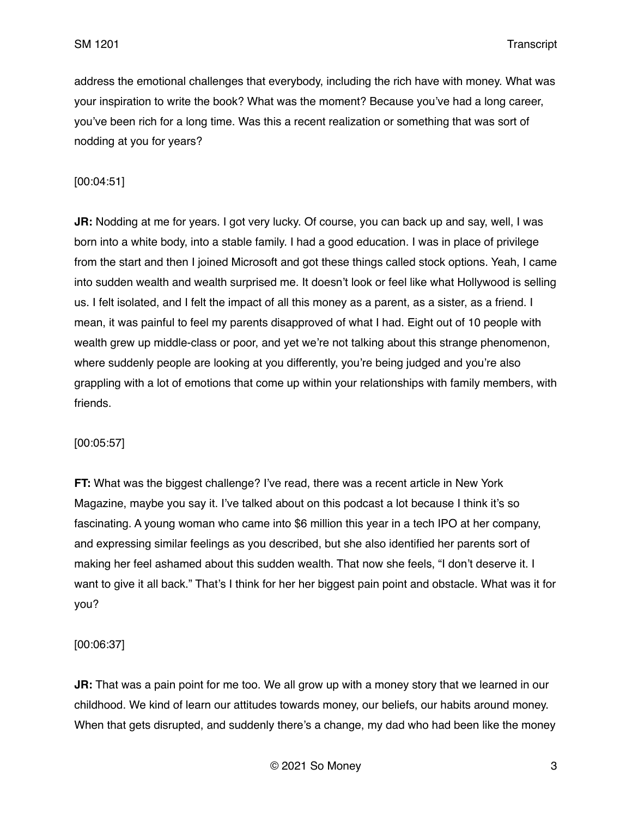address the emotional challenges that everybody, including the rich have with money. What was your inspiration to write the book? What was the moment? Because you've had a long career, you've been rich for a long time. Was this a recent realization or something that was sort of nodding at you for years?

## [00:04:51]

**JR:** Nodding at me for years. I got very lucky. Of course, you can back up and say, well, I was born into a white body, into a stable family. I had a good education. I was in place of privilege from the start and then I joined Microsoft and got these things called stock options. Yeah, I came into sudden wealth and wealth surprised me. It doesn't look or feel like what Hollywood is selling us. I felt isolated, and I felt the impact of all this money as a parent, as a sister, as a friend. I mean, it was painful to feel my parents disapproved of what I had. Eight out of 10 people with wealth grew up middle-class or poor, and yet we're not talking about this strange phenomenon, where suddenly people are looking at you differently, you're being judged and you're also grappling with a lot of emotions that come up within your relationships with family members, with friends.

### [00:05:57]

**FT:** What was the biggest challenge? I've read, there was a recent article in New York Magazine, maybe you say it. I've talked about on this podcast a lot because I think it's so fascinating. A young woman who came into \$6 million this year in a tech IPO at her company, and expressing similar feelings as you described, but she also identified her parents sort of making her feel ashamed about this sudden wealth. That now she feels, "I don't deserve it. I want to give it all back." That's I think for her her biggest pain point and obstacle. What was it for you?

### [00:06:37]

**JR:** That was a pain point for me too. We all grow up with a money story that we learned in our childhood. We kind of learn our attitudes towards money, our beliefs, our habits around money. When that gets disrupted, and suddenly there's a change, my dad who had been like the money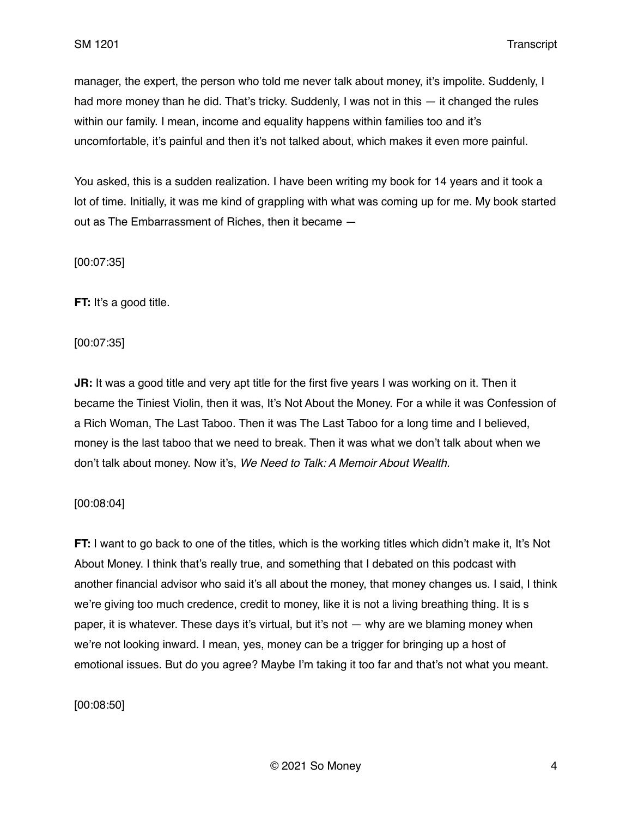manager, the expert, the person who told me never talk about money, it's impolite. Suddenly, I had more money than he did. That's tricky. Suddenly, I was not in this — it changed the rules within our family. I mean, income and equality happens within families too and it's uncomfortable, it's painful and then it's not talked about, which makes it even more painful.

You asked, this is a sudden realization. I have been writing my book for 14 years and it took a lot of time. Initially, it was me kind of grappling with what was coming up for me. My book started out as The Embarrassment of Riches, then it became —

[00:07:35]

**FT:** It's a good title.

[00:07:35]

**JR:** It was a good title and very apt title for the first five years I was working on it. Then it became the Tiniest Violin, then it was, It's Not About the Money. For a while it was Confession of a Rich Woman, The Last Taboo. Then it was The Last Taboo for a long time and I believed, money is the last taboo that we need to break. Then it was what we don't talk about when we don't talk about money. Now it's, *We Need to Talk: A Memoir About Wealth.*

## [00:08:04]

**FT:** I want to go back to one of the titles, which is the working titles which didn't make it, It's Not About Money. I think that's really true, and something that I debated on this podcast with another financial advisor who said it's all about the money, that money changes us. I said, I think we're giving too much credence, credit to money, like it is not a living breathing thing. It is s paper, it is whatever. These days it's virtual, but it's not — why are we blaming money when we're not looking inward. I mean, yes, money can be a trigger for bringing up a host of emotional issues. But do you agree? Maybe I'm taking it too far and that's not what you meant.

[00:08:50]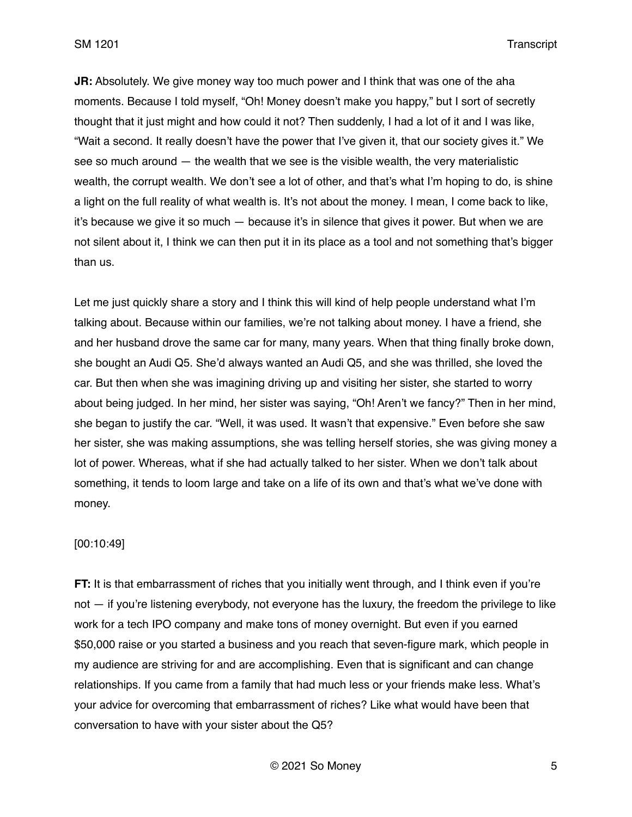**JR:** Absolutely. We give money way too much power and I think that was one of the aha moments. Because I told myself, "Oh! Money doesn't make you happy," but I sort of secretly thought that it just might and how could it not? Then suddenly, I had a lot of it and I was like, "Wait a second. It really doesn't have the power that I've given it, that our society gives it." We see so much around — the wealth that we see is the visible wealth, the very materialistic wealth, the corrupt wealth. We don't see a lot of other, and that's what I'm hoping to do, is shine a light on the full reality of what wealth is. It's not about the money. I mean, I come back to like, it's because we give it so much — because it's in silence that gives it power. But when we are not silent about it, I think we can then put it in its place as a tool and not something that's bigger than us.

Let me just quickly share a story and I think this will kind of help people understand what I'm talking about. Because within our families, we're not talking about money. I have a friend, she and her husband drove the same car for many, many years. When that thing finally broke down, she bought an Audi Q5. She'd always wanted an Audi Q5, and she was thrilled, she loved the car. But then when she was imagining driving up and visiting her sister, she started to worry about being judged. In her mind, her sister was saying, "Oh! Aren't we fancy?" Then in her mind, she began to justify the car. "Well, it was used. It wasn't that expensive." Even before she saw her sister, she was making assumptions, she was telling herself stories, she was giving money a lot of power. Whereas, what if she had actually talked to her sister. When we don't talk about something, it tends to loom large and take on a life of its own and that's what we've done with money.

### [00:10:49]

**FT:** It is that embarrassment of riches that you initially went through, and I think even if you're not — if you're listening everybody, not everyone has the luxury, the freedom the privilege to like work for a tech IPO company and make tons of money overnight. But even if you earned \$50,000 raise or you started a business and you reach that seven-figure mark, which people in my audience are striving for and are accomplishing. Even that is significant and can change relationships. If you came from a family that had much less or your friends make less. What's your advice for overcoming that embarrassment of riches? Like what would have been that conversation to have with your sister about the Q5?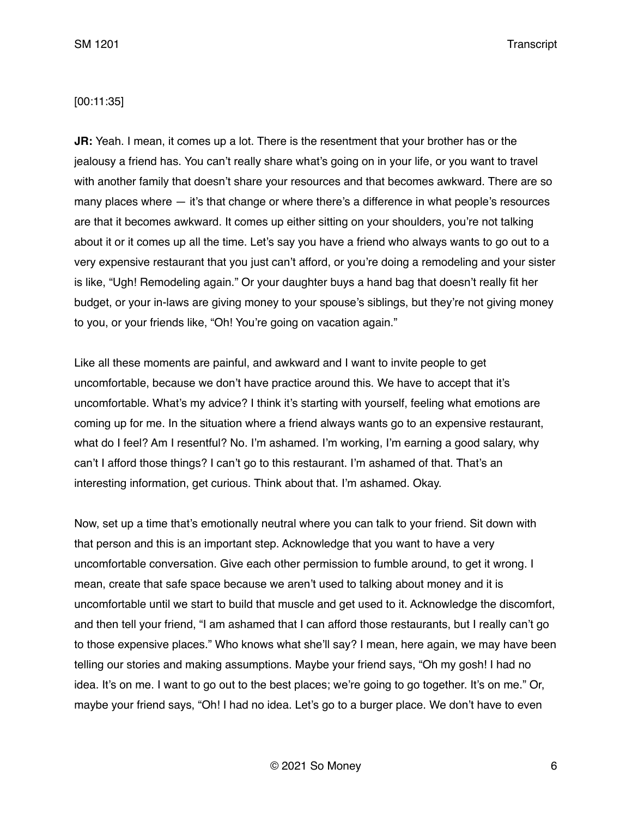### [00:11:35]

**JR:** Yeah. I mean, it comes up a lot. There is the resentment that your brother has or the jealousy a friend has. You can't really share what's going on in your life, or you want to travel with another family that doesn't share your resources and that becomes awkward. There are so many places where  $-$  it's that change or where there's a difference in what people's resources are that it becomes awkward. It comes up either sitting on your shoulders, you're not talking about it or it comes up all the time. Let's say you have a friend who always wants to go out to a very expensive restaurant that you just can't afford, or you're doing a remodeling and your sister is like, "Ugh! Remodeling again." Or your daughter buys a hand bag that doesn't really fit her budget, or your in-laws are giving money to your spouse's siblings, but they're not giving money to you, or your friends like, "Oh! You're going on vacation again."

Like all these moments are painful, and awkward and I want to invite people to get uncomfortable, because we don't have practice around this. We have to accept that it's uncomfortable. What's my advice? I think it's starting with yourself, feeling what emotions are coming up for me. In the situation where a friend always wants go to an expensive restaurant, what do I feel? Am I resentful? No. I'm ashamed. I'm working, I'm earning a good salary, why can't I afford those things? I can't go to this restaurant. I'm ashamed of that. That's an interesting information, get curious. Think about that. I'm ashamed. Okay.

Now, set up a time that's emotionally neutral where you can talk to your friend. Sit down with that person and this is an important step. Acknowledge that you want to have a very uncomfortable conversation. Give each other permission to fumble around, to get it wrong. I mean, create that safe space because we aren't used to talking about money and it is uncomfortable until we start to build that muscle and get used to it. Acknowledge the discomfort, and then tell your friend, "I am ashamed that I can afford those restaurants, but I really can't go to those expensive places." Who knows what she'll say? I mean, here again, we may have been telling our stories and making assumptions. Maybe your friend says, "Oh my gosh! I had no idea. It's on me. I want to go out to the best places; we're going to go together. It's on me." Or, maybe your friend says, "Oh! I had no idea. Let's go to a burger place. We don't have to even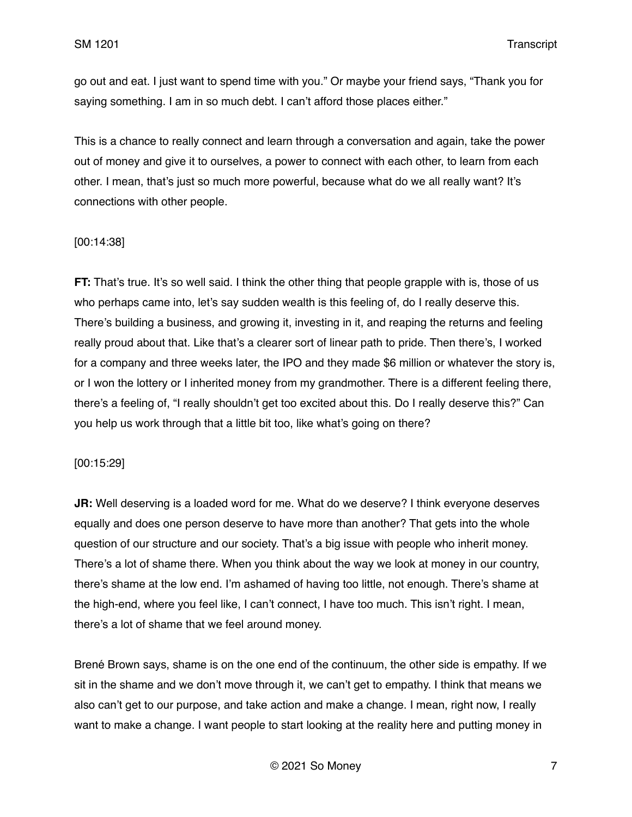go out and eat. I just want to spend time with you." Or maybe your friend says, "Thank you for saying something. I am in so much debt. I can't afford those places either."

This is a chance to really connect and learn through a conversation and again, take the power out of money and give it to ourselves, a power to connect with each other, to learn from each other. I mean, that's just so much more powerful, because what do we all really want? It's connections with other people.

#### [00:14:38]

**FT:** That's true. It's so well said. I think the other thing that people grapple with is, those of us who perhaps came into, let's say sudden wealth is this feeling of, do I really deserve this. There's building a business, and growing it, investing in it, and reaping the returns and feeling really proud about that. Like that's a clearer sort of linear path to pride. Then there's, I worked for a company and three weeks later, the IPO and they made \$6 million or whatever the story is, or I won the lottery or I inherited money from my grandmother. There is a different feeling there, there's a feeling of, "I really shouldn't get too excited about this. Do I really deserve this?" Can you help us work through that a little bit too, like what's going on there?

#### [00:15:29]

**JR:** Well deserving is a loaded word for me. What do we deserve? I think everyone deserves equally and does one person deserve to have more than another? That gets into the whole question of our structure and our society. That's a big issue with people who inherit money. There's a lot of shame there. When you think about the way we look at money in our country, there's shame at the low end. I'm ashamed of having too little, not enough. There's shame at the high-end, where you feel like, I can't connect, I have too much. This isn't right. I mean, there's a lot of shame that we feel around money.

Brené Brown says, shame is on the one end of the continuum, the other side is empathy. If we sit in the shame and we don't move through it, we can't get to empathy. I think that means we also can't get to our purpose, and take action and make a change. I mean, right now, I really want to make a change. I want people to start looking at the reality here and putting money in

© 2021 So Money 7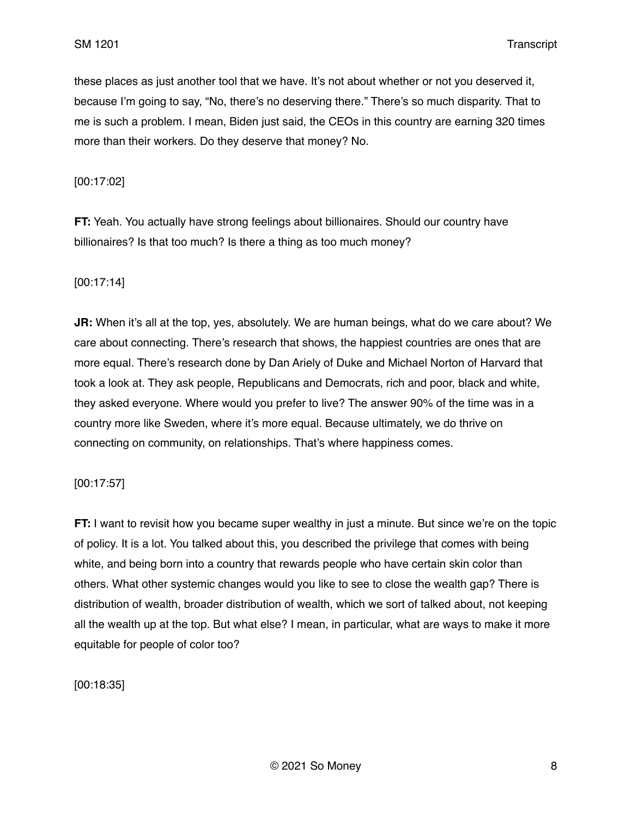these places as just another tool that we have. It's not about whether or not you deserved it, because I'm going to say, "No, there's no deserving there." There's so much disparity. That to me is such a problem. I mean, Biden just said, the CEOs in this country are earning 320 times more than their workers. Do they deserve that money? No.

[00:17:02]

**FT:** Yeah. You actually have strong feelings about billionaires. Should our country have billionaires? Is that too much? Is there a thing as too much money?

### [00:17:14]

**JR:** When it's all at the top, yes, absolutely. We are human beings, what do we care about? We care about connecting. There's research that shows, the happiest countries are ones that are more equal. There's research done by Dan Ariely of Duke and Michael Norton of Harvard that took a look at. They ask people, Republicans and Democrats, rich and poor, black and white, they asked everyone. Where would you prefer to live? The answer 90% of the time was in a country more like Sweden, where it's more equal. Because ultimately, we do thrive on connecting on community, on relationships. That's where happiness comes.

[00:17:57]

**FT:** I want to revisit how you became super wealthy in just a minute. But since we're on the topic of policy. It is a lot. You talked about this, you described the privilege that comes with being white, and being born into a country that rewards people who have certain skin color than others. What other systemic changes would you like to see to close the wealth gap? There is distribution of wealth, broader distribution of wealth, which we sort of talked about, not keeping all the wealth up at the top. But what else? I mean, in particular, what are ways to make it more equitable for people of color too?

[00:18:35]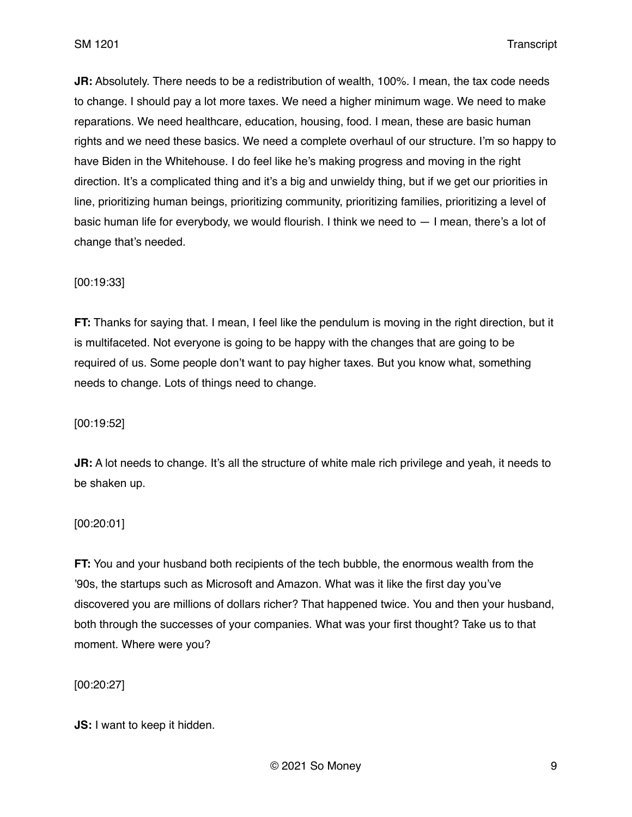**JR:** Absolutely. There needs to be a redistribution of wealth, 100%. I mean, the tax code needs to change. I should pay a lot more taxes. We need a higher minimum wage. We need to make reparations. We need healthcare, education, housing, food. I mean, these are basic human rights and we need these basics. We need a complete overhaul of our structure. I'm so happy to have Biden in the Whitehouse. I do feel like he's making progress and moving in the right direction. It's a complicated thing and it's a big and unwieldy thing, but if we get our priorities in line, prioritizing human beings, prioritizing community, prioritizing families, prioritizing a level of basic human life for everybody, we would flourish. I think we need to — I mean, there's a lot of change that's needed.

### [00:19:33]

**FT:** Thanks for saying that. I mean, I feel like the pendulum is moving in the right direction, but it is multifaceted. Not everyone is going to be happy with the changes that are going to be required of us. Some people don't want to pay higher taxes. But you know what, something needs to change. Lots of things need to change.

[00:19:52]

**JR:** A lot needs to change. It's all the structure of white male rich privilege and yeah, it needs to be shaken up.

### [00:20:01]

**FT:** You and your husband both recipients of the tech bubble, the enormous wealth from the '90s, the startups such as Microsoft and Amazon. What was it like the first day you've discovered you are millions of dollars richer? That happened twice. You and then your husband, both through the successes of your companies. What was your first thought? Take us to that moment. Where were you?

[00:20:27]

**JS:** I want to keep it hidden.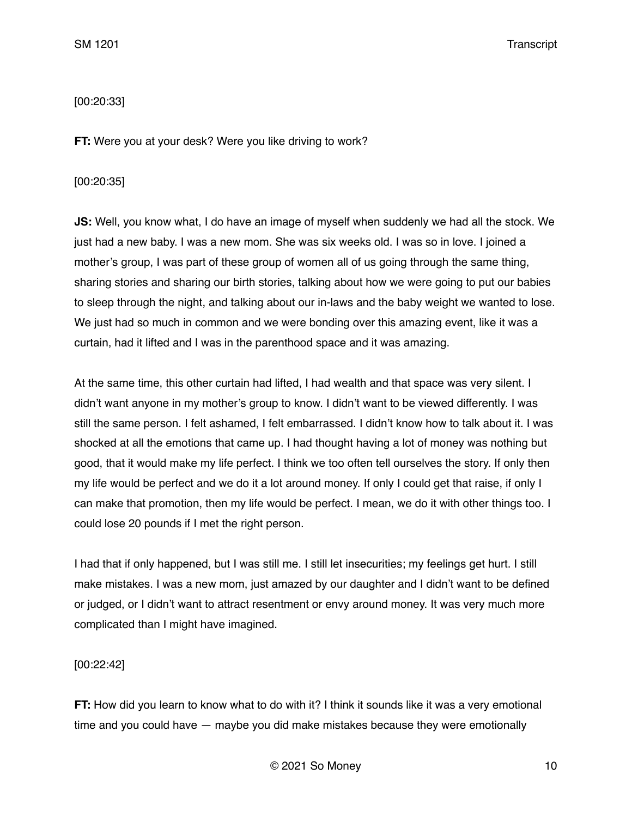# [00:20:33]

**FT:** Were you at your desk? Were you like driving to work?

## [00:20:35]

**JS:** Well, you know what, I do have an image of myself when suddenly we had all the stock. We just had a new baby. I was a new mom. She was six weeks old. I was so in love. I joined a mother's group, I was part of these group of women all of us going through the same thing, sharing stories and sharing our birth stories, talking about how we were going to put our babies to sleep through the night, and talking about our in-laws and the baby weight we wanted to lose. We just had so much in common and we were bonding over this amazing event, like it was a curtain, had it lifted and I was in the parenthood space and it was amazing.

At the same time, this other curtain had lifted, I had wealth and that space was very silent. I didn't want anyone in my mother's group to know. I didn't want to be viewed differently. I was still the same person. I felt ashamed, I felt embarrassed. I didn't know how to talk about it. I was shocked at all the emotions that came up. I had thought having a lot of money was nothing but good, that it would make my life perfect. I think we too often tell ourselves the story. If only then my life would be perfect and we do it a lot around money. If only I could get that raise, if only I can make that promotion, then my life would be perfect. I mean, we do it with other things too. I could lose 20 pounds if I met the right person.

I had that if only happened, but I was still me. I still let insecurities; my feelings get hurt. I still make mistakes. I was a new mom, just amazed by our daughter and I didn't want to be defined or judged, or I didn't want to attract resentment or envy around money. It was very much more complicated than I might have imagined.

[00:22:42]

**FT:** How did you learn to know what to do with it? I think it sounds like it was a very emotional time and you could have — maybe you did make mistakes because they were emotionally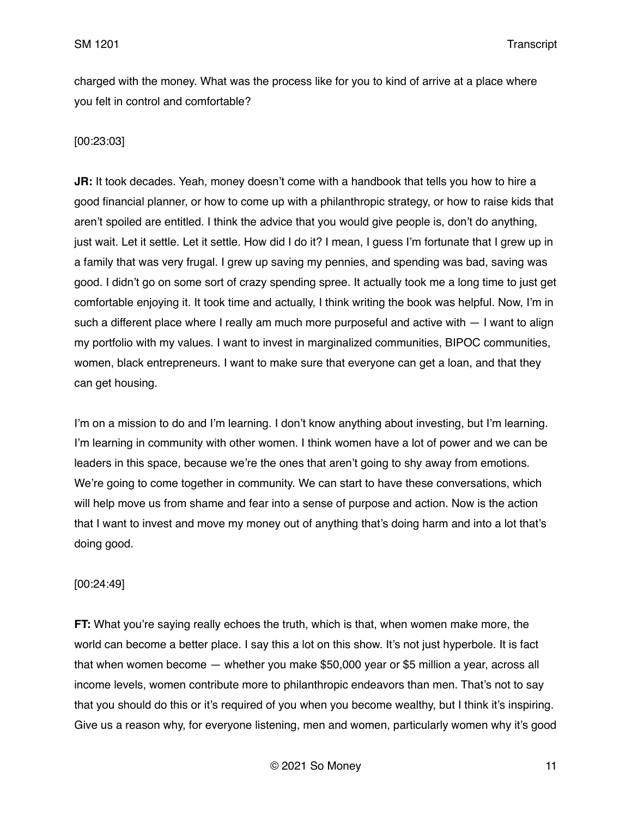charged with the money. What was the process like for you to kind of arrive at a place where you felt in control and comfortable?

# [00:23:03]

**JR:** It took decades. Yeah, money doesn't come with a handbook that tells you how to hire a good financial planner, or how to come up with a philanthropic strategy, or how to raise kids that aren't spoiled are entitled. I think the advice that you would give people is, don't do anything, just wait. Let it settle. Let it settle. How did I do it? I mean, I guess I'm fortunate that I grew up in a family that was very frugal. I grew up saving my pennies, and spending was bad, saving was good. I didn't go on some sort of crazy spending spree. It actually took me a long time to just get comfortable enjoying it. It took time and actually, I think writing the book was helpful. Now, I'm in such a different place where I really am much more purposeful and active with  $-1$  want to align my portfolio with my values. I want to invest in marginalized communities, BIPOC communities, women, black entrepreneurs. I want to make sure that everyone can get a loan, and that they can get housing.

I'm on a mission to do and I'm learning. I don't know anything about investing, but I'm learning. I'm learning in community with other women. I think women have a lot of power and we can be leaders in this space, because we're the ones that aren't going to shy away from emotions. We're going to come together in community. We can start to have these conversations, which will help move us from shame and fear into a sense of purpose and action. Now is the action that I want to invest and move my money out of anything that's doing harm and into a lot that's doing good.

### [00:24:49]

**FT:** What you're saying really echoes the truth, which is that, when women make more, the world can become a better place. I say this a lot on this show. It's not just hyperbole. It is fact that when women become — whether you make \$50,000 year or \$5 million a year, across all income levels, women contribute more to philanthropic endeavors than men. That's not to say that you should do this or it's required of you when you become wealthy, but I think it's inspiring. Give us a reason why, for everyone listening, men and women, particularly women why it's good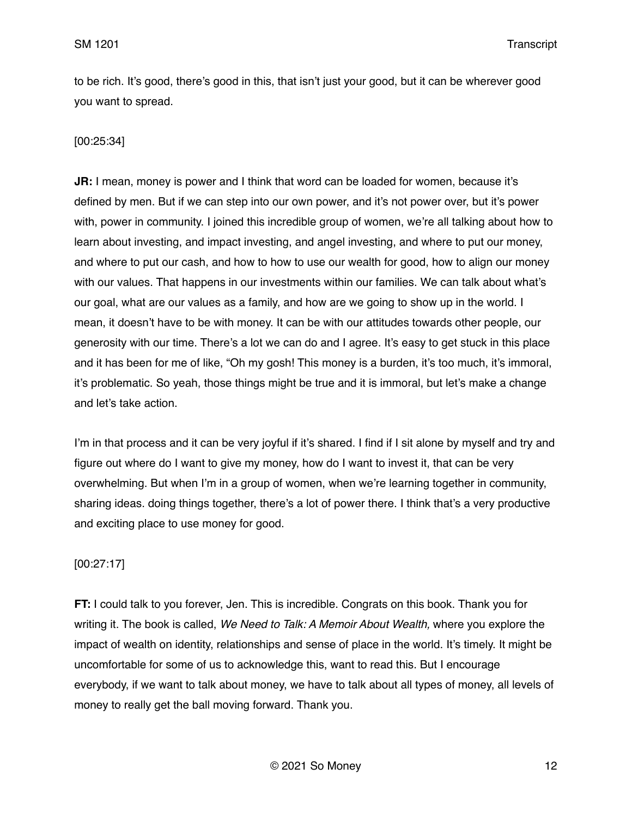to be rich. It's good, there's good in this, that isn't just your good, but it can be wherever good you want to spread.

# [00:25:34]

**JR:** I mean, money is power and I think that word can be loaded for women, because it's defined by men. But if we can step into our own power, and it's not power over, but it's power with, power in community. I joined this incredible group of women, we're all talking about how to learn about investing, and impact investing, and angel investing, and where to put our money, and where to put our cash, and how to how to use our wealth for good, how to align our money with our values. That happens in our investments within our families. We can talk about what's our goal, what are our values as a family, and how are we going to show up in the world. I mean, it doesn't have to be with money. It can be with our attitudes towards other people, our generosity with our time. There's a lot we can do and I agree. It's easy to get stuck in this place and it has been for me of like, "Oh my gosh! This money is a burden, it's too much, it's immoral, it's problematic. So yeah, those things might be true and it is immoral, but let's make a change and let's take action.

I'm in that process and it can be very joyful if it's shared. I find if I sit alone by myself and try and figure out where do I want to give my money, how do I want to invest it, that can be very overwhelming. But when I'm in a group of women, when we're learning together in community, sharing ideas. doing things together, there's a lot of power there. I think that's a very productive and exciting place to use money for good.

## [00:27:17]

**FT:** I could talk to you forever, Jen. This is incredible. Congrats on this book. Thank you for writing it. The book is called, *We Need to Talk: A Memoir About Wealth,* where you explore the impact of wealth on identity, relationships and sense of place in the world. It's timely. It might be uncomfortable for some of us to acknowledge this, want to read this. But I encourage everybody, if we want to talk about money, we have to talk about all types of money, all levels of money to really get the ball moving forward. Thank you.